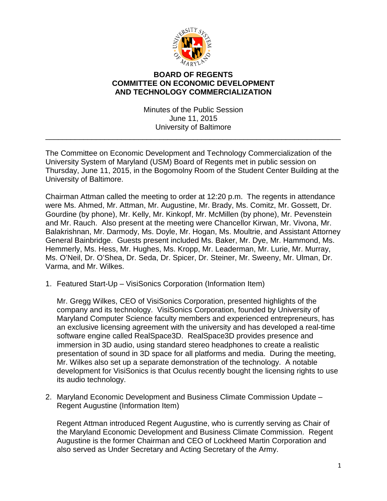

## **BOARD OF REGENTS COMMITTEE ON ECONOMIC DEVELOPMENT AND TECHNOLOGY COMMERCIALIZATION**

Minutes of the Public Session June 11, 2015 University of Baltimore

\_\_\_\_\_\_\_\_\_\_\_\_\_\_\_\_\_\_\_\_\_\_\_\_\_\_\_\_\_\_\_\_\_\_\_\_\_\_\_\_\_\_\_\_\_\_\_\_\_\_\_\_\_\_\_\_\_\_\_\_\_\_\_\_\_\_\_\_\_\_

The Committee on Economic Development and Technology Commercialization of the University System of Maryland (USM) Board of Regents met in public session on Thursday, June 11, 2015, in the Bogomolny Room of the Student Center Building at the University of Baltimore.

Chairman Attman called the meeting to order at 12:20 p.m. The regents in attendance were Ms. Ahmed, Mr. Attman, Mr. Augustine, Mr. Brady, Ms. Comitz, Mr. Gossett, Dr. Gourdine (by phone), Mr. Kelly, Mr. Kinkopf, Mr. McMillen (by phone), Mr. Pevenstein and Mr. Rauch. Also present at the meeting were Chancellor Kirwan, Mr. Vivona, Mr. Balakrishnan, Mr. Darmody, Ms. Doyle, Mr. Hogan, Ms. Moultrie, and Assistant Attorney General Bainbridge. Guests present included Ms. Baker, Mr. Dye, Mr. Hammond, Ms. Hemmerly, Ms. Hess, Mr. Hughes, Ms. Kropp, Mr. Leaderman, Mr. Lurie, Mr. Murray, Ms. O'Neil, Dr. O'Shea, Dr. Seda, Dr. Spicer, Dr. Steiner, Mr. Sweeny, Mr. Ulman, Dr. Varma, and Mr. Wilkes.

1. Featured Start-Up – VisiSonics Corporation (Information Item)

Mr. Gregg Wilkes, CEO of VisiSonics Corporation, presented highlights of the company and its technology. VisiSonics Corporation, founded by University of Maryland Computer Science faculty members and experienced entrepreneurs, has an exclusive licensing agreement with the university and has developed a real-time software engine called RealSpace3D. RealSpace3D provides presence and immersion in 3D audio, using standard stereo headphones to create a realistic presentation of sound in 3D space for all platforms and media. During the meeting, Mr. Wilkes also set up a separate demonstration of the technology. A notable development for VisiSonics is that Oculus recently bought the licensing rights to use its audio technology.

2. Maryland Economic Development and Business Climate Commission Update – Regent Augustine (Information Item)

Regent Attman introduced Regent Augustine, who is currently serving as Chair of the Maryland Economic Development and Business Climate Commission. Regent Augustine is the former Chairman and CEO of Lockheed Martin Corporation and also served as Under Secretary and Acting Secretary of the Army.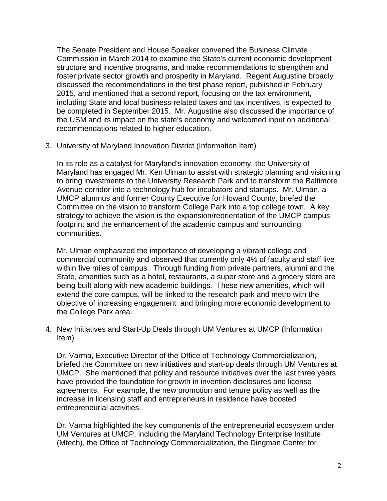The Senate President and House Speaker convened the Business Climate Commission in March 2014 to examine the State's current economic development structure and incentive programs, and make recommendations to strengthen and foster private sector growth and prosperity in Maryland. Regent Augustine broadly discussed the recommendations in the first phase report, published in February 2015, and mentioned that a second report, focusing on the tax environment, including State and local business-related taxes and tax incentives, is expected to be completed in September 2015. Mr. Augustine also discussed the importance of the USM and its impact on the state's economy and welcomed input on additional recommendations related to higher education.

3. University of Maryland Innovation District (Information Item)

In its role as a catalyst for Maryland's innovation economy, the University of Maryland has engaged Mr. Ken Ulman to assist with strategic planning and visioning to bring investments to the University Research Park and to transform the Baltimore Avenue corridor into a technology hub for incubators and startups. Mr. Ulman, a UMCP alumnus and former County Executive for Howard County, briefed the Committee on the vision to transform College Park into a top college town. A key strategy to achieve the vision is the expansion/reorientation of the UMCP campus footprint and the enhancement of the academic campus and surrounding communities.

Mr. Ulman emphasized the importance of developing a vibrant college and commercial community and observed that currently only 4% of faculty and staff live within five miles of campus. Through funding from private partners, alumni and the State, amenities such as a hotel, restaurants, a super store and a grocery store are being built along with new academic buildings. These new amenities, which will extend the core campus, will be linked to the research park and metro with the objective of increasing engagement and bringing more economic development to the College Park area.

4. New Initiatives and Start-Up Deals through UM Ventures at UMCP (Information Item)

Dr. Varma, Executive Director of the Office of Technology Commercialization, briefed the Committee on new initiatives and start-up deals through UM Ventures at UMCP. She mentioned that policy and resource initiatives over the last three years have provided the foundation for growth in invention disclosures and license agreements. For example, the new promotion and tenure policy as well as the increase in licensing staff and entrepreneurs in residence have boosted entrepreneurial activities.

Dr. Varma highlighted the key components of the entrepreneurial ecosystem under UM Ventures at UMCP, including the Maryland Technology Enterprise Institute (Mtech), the Office of Technology Commercialization, the Dingman Center for